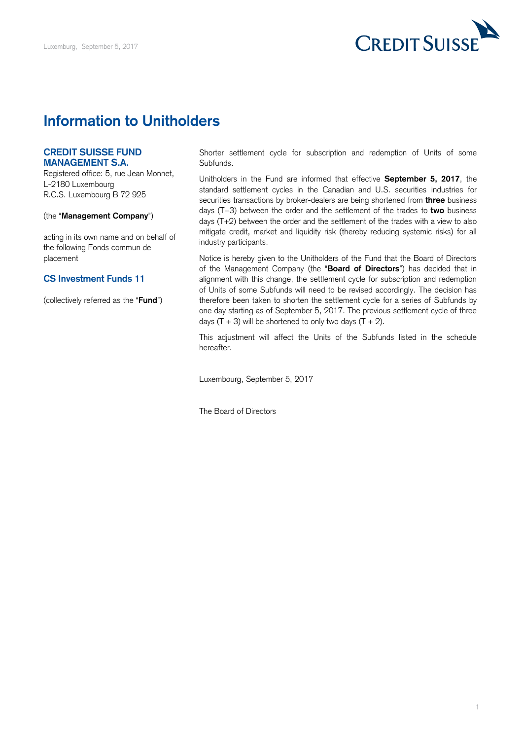

## **Information to Unitholders**

## **CREDIT SUISSE FUND MANAGEMENT S.A.**

 Registered office: 5, rue Jean Monnet, L-2180 Luxembourg R.C.S. Luxembourg B 72 925

## (the "**Management Company**")

 acting in its own name and on behalf of the following Fonds commun de placement

## **CS Investment Funds 11**

(collectively referred as the "**Fund**")

 Shorter settlement cycle for subscription and redemption of Units of some Subfunds.

 Unitholders in the Fund are informed that effective **September 5, 2017**, the standard settlement cycles in the Canadian and U.S. securities industries for securities transactions by broker-dealers are being shortened from **three** business days (T+3) between the order and the settlement of the trades to **two** business days (T+2) between the order and the settlement of the trades with a view to also mitigate credit, market and liquidity risk (thereby reducing systemic risks) for all industry participants.

 Notice is hereby given to the Unitholders of the Fund that the Board of Directors of the Management Company (the "**Board of Directors**") has decided that in alignment with this change, the settlement cycle for subscription and redemption of Units of some Subfunds will need to be revised accordingly. The decision has therefore been taken to shorten the settlement cycle for a series of Subfunds by one day starting as of September 5, 2017. The previous settlement cycle of three days  $(T + 3)$  will be shortened to only two days  $(T + 2)$ .

 This adjustment will affect the Units of the Subfunds listed in the schedule hereafter.

Luxembourg, September 5, 2017

The Board of Directors